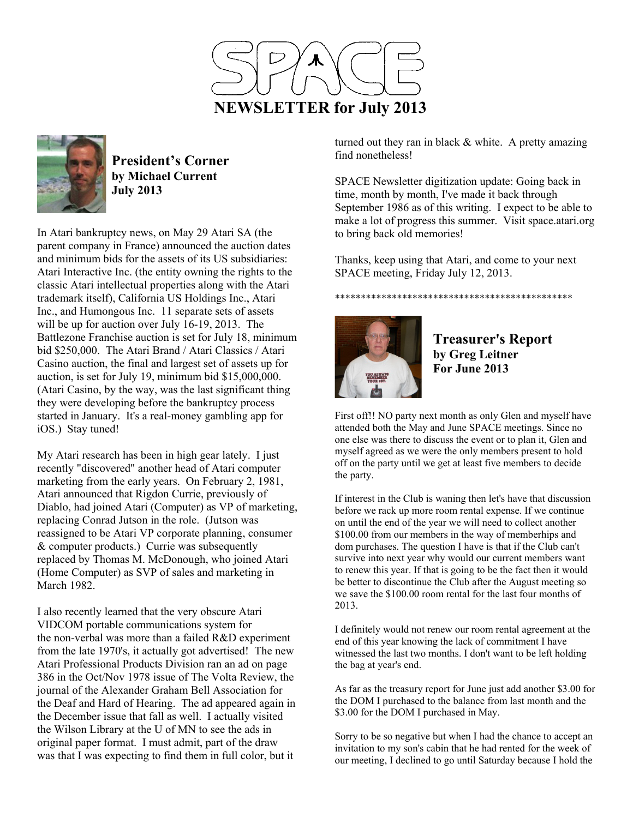



**President's Corner by Michael Current July 2013**

In Atari bankruptcy news, on May 29 Atari SA (the parent company in France) announced the auction dates and minimum bids for the assets of its US subsidiaries: Atari Interactive Inc. (the entity owning the rights to the classic Atari intellectual properties along with the Atari trademark itself), California US Holdings Inc., Atari Inc., and Humongous Inc. 11 separate sets of assets will be up for auction over July 16-19, 2013. The Battlezone Franchise auction is set for July 18, minimum bid \$250,000. The Atari Brand / Atari Classics / Atari Casino auction, the final and largest set of assets up for auction, is set for July 19, minimum bid \$15,000,000. (Atari Casino, by the way, was the last significant thing they were developing before the bankruptcy process started in January. It's a real-money gambling app for iOS.) Stay tuned!

My Atari research has been in high gear lately. I just recently "discovered" another head of Atari computer marketing from the early years. On February 2, 1981, Atari announced that Rigdon Currie, previously of Diablo, had joined Atari (Computer) as VP of marketing, replacing Conrad Jutson in the role. (Jutson was reassigned to be Atari VP corporate planning, consumer & computer products.) Currie was subsequently replaced by Thomas M. McDonough, who joined Atari (Home Computer) as SVP of sales and marketing in March 1982.

I also recently learned that the very obscure Atari VIDCOM portable communications system for the non-verbal was more than a failed R&D experiment from the late 1970's, it actually got advertised! The new Atari Professional Products Division ran an ad on page 386 in the Oct/Nov 1978 issue of The Volta Review, the journal of the Alexander Graham Bell Association for the Deaf and Hard of Hearing. The ad appeared again in the December issue that fall as well. I actually visited the Wilson Library at the U of MN to see the ads in original paper format. I must admit, part of the draw was that I was expecting to find them in full color, but it

turned out they ran in black  $&$  white. A pretty amazing find nonetheless!

SPACE Newsletter digitization update: Going back in time, month by month, I've made it back through September 1986 as of this writing. I expect to be able to make a lot of progress this summer. Visit space.atari.org to bring back old memories!

Thanks, keep using that Atari, and come to your next SPACE meeting, Friday July 12, 2013.

## \*\*\*\*\*\*\*\*\*\*\*\*\*\*\*\*\*\*\*\*\*\*\*\*\*\*\*\*\*\*\*\*\*\*\*\*\*\*\*\*\*\*\*\*\*\*



**Treasurer's Report by Greg Leitner For June 2013** 

First off!! NO party next month as only Glen and myself have attended both the May and June SPACE meetings. Since no one else was there to discuss the event or to plan it, Glen and myself agreed as we were the only members present to hold off on the party until we get at least five members to decide the party.

If interest in the Club is waning then let's have that discussion before we rack up more room rental expense. If we continue on until the end of the year we will need to collect another \$100.00 from our members in the way of memberhips and dom purchases. The question I have is that if the Club can't survive into next year why would our current members want to renew this year. If that is going to be the fact then it would be better to discontinue the Club after the August meeting so we save the \$100.00 room rental for the last four months of 2013.

I definitely would not renew our room rental agreement at the end of this year knowing the lack of commitment I have witnessed the last two months. I don't want to be left holding the bag at year's end.

As far as the treasury report for June just add another \$3.00 for the DOM I purchased to the balance from last month and the \$3.00 for the DOM I purchased in May.

Sorry to be so negative but when I had the chance to accept an invitation to my son's cabin that he had rented for the week of our meeting, I declined to go until Saturday because I hold the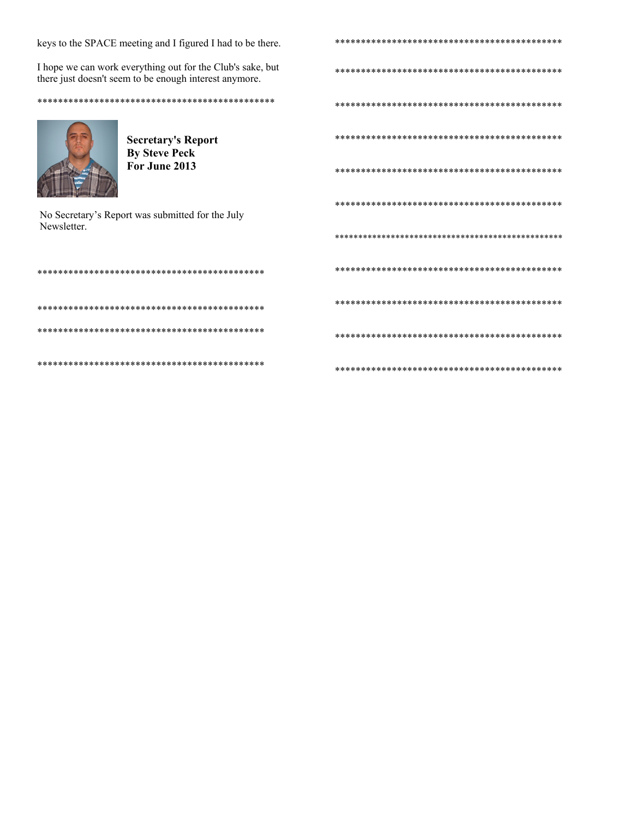keys to the SPACE meeting and I figured I had to be there.

I hope we can work everything out for the Club's sake, but there just doesn't seem to be enough interest anymore.



**Secretary's Report By Steve Peck** For June 2013

No Secretary's Report was submitted for the July Newsletter.